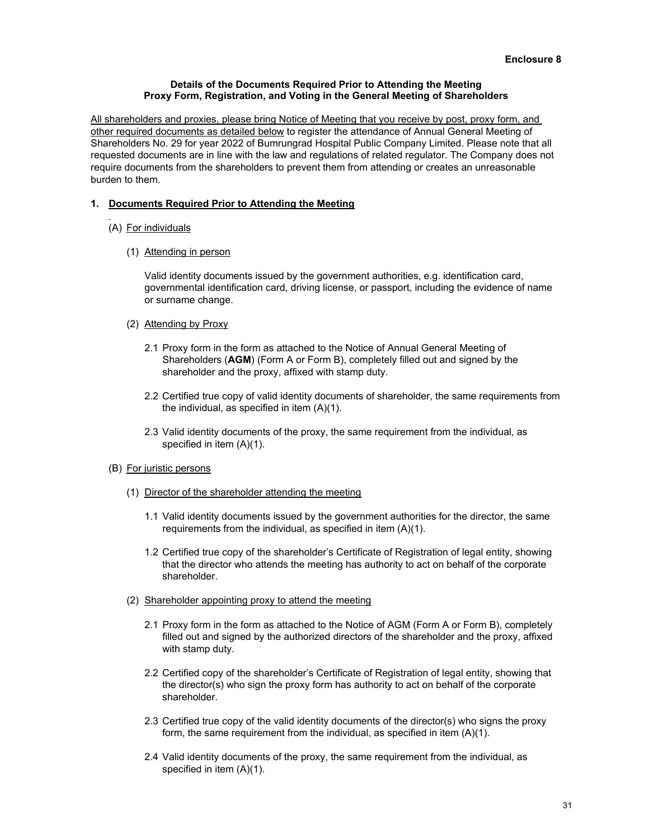## **Details of the Documents Required Prior to Attending the Meeting Proxy Form, Registration, and Voting in the General Meeting of Shareholders**

All shareholders and proxies, please bring Notice of Meeting that you receive by post, proxy form, and other required documents as detailed below to register the attendance of Annual General Meeting of Shareholders No. 29 for year 2022 of Bumrungrad Hospital Public Company Limited. Please note that all requested documents are in line with the law and regulations of related regulator. The Company does not require documents from the shareholders to prevent them from attending or creates an unreasonable burden to them.

## **1. Documents Required Prior to Attending the Meeting**

- (A) For individuals
	- (1) Attending in person

Valid identity documents issued by the government authorities, e.g. identification card, governmental identification card, driving license, or passport, including the evidence of name or surname change.

- (2) Attending by Proxy
	- 2.1 Proxy form in the form as attached to the Notice of Annual General Meeting of Shareholders (**AGM**) (Form A or Form B), completely filled out and signed by the shareholder and the proxy, affixed with stamp duty.
	- 2.2 Certified true copy of valid identity documents of shareholder, the same requirements from the individual, as specified in item (A)(1).
	- 2.3 Valid identity documents of the proxy, the same requirement from the individual, as specified in item (A)(1).
- (B) For juristic persons
	- (1) Director of the shareholder attending the meeting
		- 1.1 Valid identity documents issued by the government authorities for the director, the same requirements from the individual, as specified in item (A)(1).
		- 1.2 Certified true copy of the shareholder's Certificate of Registration of legal entity, showing that the director who attends the meeting has authority to act on behalf of the corporate shareholder.
	- (2) Shareholder appointing proxy to attend the meeting
		- 2.1 Proxy form in the form as attached to the Notice of AGM (Form A or Form B), completely filled out and signed by the authorized directors of the shareholder and the proxy, affixed with stamp duty.
		- 2.2 Certified copy of the shareholder's Certificate of Registration of legal entity, showing that the director(s) who sign the proxy form has authority to act on behalf of the corporate shareholder.
		- 2.3 Certified true copy of the valid identity documents of the director(s) who signs the proxy form, the same requirement from the individual, as specified in item (A)(1).
		- 2.4 Valid identity documents of the proxy, the same requirement from the individual, as specified in item (A)(1).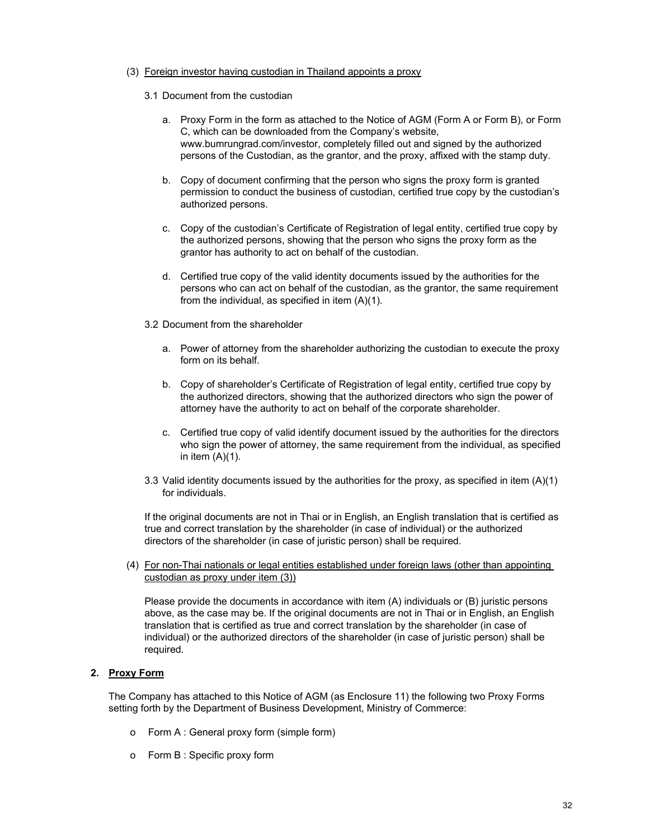## (3) Foreign investor having custodian in Thailand appoints a proxy

- 3.1 Document from the custodian
	- a. Proxy Form in the form as attached to the Notice of AGM (Form A or Form B), or Form C, which can be downloaded from the Company's website, www.bumrungrad.com/investor, completely filled out and signed by the authorized persons of the Custodian, as the grantor, and the proxy, affixed with the stamp duty.
	- b. Copy of document confirming that the person who signs the proxy form is granted permission to conduct the business of custodian, certified true copy by the custodian's authorized persons.
	- c. Copy of the custodian's Certificate of Registration of legal entity, certified true copy by the authorized persons, showing that the person who signs the proxy form as the grantor has authority to act on behalf of the custodian.
	- d. Certified true copy of the valid identity documents issued by the authorities for the persons who can act on behalf of the custodian, as the grantor, the same requirement from the individual, as specified in item (A)(1).
- 3.2 Document from the shareholder
	- a. Power of attorney from the shareholder authorizing the custodian to execute the proxy form on its behalf.
	- b. Copy of shareholder's Certificate of Registration of legal entity, certified true copy by the authorized directors, showing that the authorized directors who sign the power of attorney have the authority to act on behalf of the corporate shareholder.
	- c. Certified true copy of valid identify document issued by the authorities for the directors who sign the power of attorney, the same requirement from the individual, as specified in item  $(A)(1)$ .
- 3.3 Valid identity documents issued by the authorities for the proxy, as specified in item (A)(1) for individuals.

If the original documents are not in Thai or in English, an English translation that is certified as true and correct translation by the shareholder (in case of individual) or the authorized directors of the shareholder (in case of juristic person) shall be required.

(4) For non-Thai nationals or legal entities established under foreign laws (other than appointing custodian as proxy under item (3))

Please provide the documents in accordance with item (A) individuals or (B) juristic persons above, as the case may be. If the original documents are not in Thai or in English, an English translation that is certified as true and correct translation by the shareholder (in case of individual) or the authorized directors of the shareholder (in case of juristic person) shall be required.

# **2. Proxy Form**

The Company has attached to this Notice of AGM (as Enclosure 11) the following two Proxy Forms setting forth by the Department of Business Development, Ministry of Commerce:

- o Form A : General proxy form (simple form)
- o Form B : Specific proxy form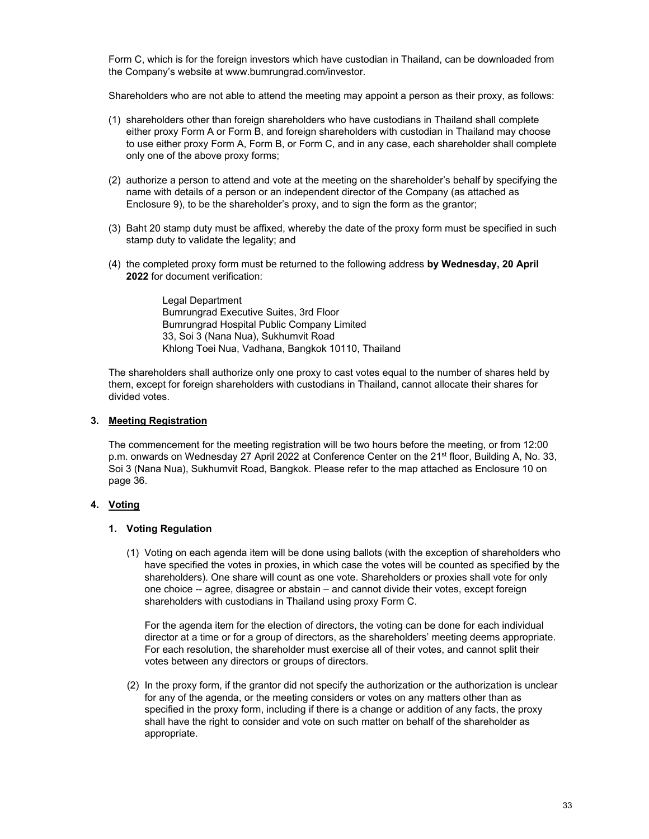Form C, which is for the foreign investors which have custodian in Thailand, can be downloaded from the Company's website at www.bumrungrad.com/investor.

Shareholders who are not able to attend the meeting may appoint a person as their proxy, as follows:

- (1) shareholders other than foreign shareholders who have custodians in Thailand shall complete either proxy Form A or Form B, and foreign shareholders with custodian in Thailand may choose to use either proxy Form A, Form B, or Form C, and in any case, each shareholder shall complete only one of the above proxy forms;
- (2) authorize a person to attend and vote at the meeting on the shareholder's behalf by specifying the name with details of a person or an independent director of the Company (as attached as Enclosure 9), to be the shareholder's proxy, and to sign the form as the grantor;
- (3) Baht 20 stamp duty must be affixed, whereby the date of the proxy form must be specified in such stamp duty to validate the legality; and
- (4) the completed proxy form must be returned to the following address **by Wednesday, 20 April 2022** for document verification:

Legal Department Bumrungrad Executive Suites, 3rd Floor Bumrungrad Hospital Public Company Limited 33, Soi 3 (Nana Nua), Sukhumvit Road Khlong Toei Nua, Vadhana, Bangkok 10110, Thailand

The shareholders shall authorize only one proxy to cast votes equal to the number of shares held by them, except for foreign shareholders with custodians in Thailand, cannot allocate their shares for divided votes.

## **3. Meeting Registration**

The commencement for the meeting registration will be two hours before the meeting, or from 12:00 p.m. onwards on Wednesday 27 April 2022 at Conference Center on the 21<sup>st</sup> floor, Building A, No. 33, Soi 3 (Nana Nua), Sukhumvit Road, Bangkok. Please refer to the map attached as Enclosure 10 on page 36.

# **4. Voting**

# **1. Voting Regulation**

(1) Voting on each agenda item will be done using ballots (with the exception of shareholders who have specified the votes in proxies, in which case the votes will be counted as specified by the shareholders). One share will count as one vote. Shareholders or proxies shall vote for only one choice -- agree, disagree or abstain – and cannot divide their votes, except foreign shareholders with custodians in Thailand using proxy Form C.

 For the agenda item for the election of directors, the voting can be done for each individual director at a time or for a group of directors, as the shareholders' meeting deems appropriate. For each resolution, the shareholder must exercise all of their votes, and cannot split their votes between any directors or groups of directors.

(2) In the proxy form, if the grantor did not specify the authorization or the authorization is unclear for any of the agenda, or the meeting considers or votes on any matters other than as specified in the proxy form, including if there is a change or addition of any facts, the proxy shall have the right to consider and vote on such matter on behalf of the shareholder as appropriate.